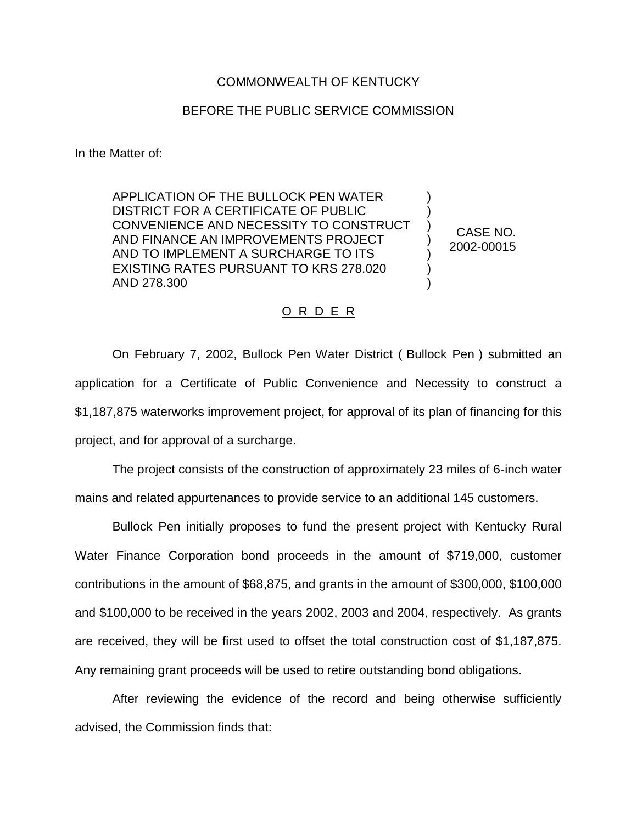## COMMONWEALTH OF KENTUCKY

## BEFORE THE PUBLIC SERVICE COMMISSION

In the Matter of:

APPLICATION OF THE BULLOCK PEN WATER DISTRICT FOR A CERTIFICATE OF PUBLIC CONVENIENCE AND NECESSITY TO CONSTRUCT AND FINANCE AN IMPROVEMENTS PROJECT AND TO IMPLEMENT A SURCHARGE TO ITS EXISTING RATES PURSUANT TO KRS 278.020 AND 278.300

CASE NO. 2002-00015

) ) ) ) ) ) )

## O R D E R

On February 7, 2002, Bullock Pen Water District ( Bullock Pen ) submitted an application for a Certificate of Public Convenience and Necessity to construct a \$1,187,875 waterworks improvement project, for approval of its plan of financing for this project, and for approval of a surcharge.

The project consists of the construction of approximately 23 miles of 6-inch water mains and related appurtenances to provide service to an additional 145 customers.

Bullock Pen initially proposes to fund the present project with Kentucky Rural Water Finance Corporation bond proceeds in the amount of \$719,000, customer contributions in the amount of \$68,875, and grants in the amount of \$300,000, \$100,000 and \$100,000 to be received in the years 2002, 2003 and 2004, respectively. As grants are received, they will be first used to offset the total construction cost of \$1,187,875. Any remaining grant proceeds will be used to retire outstanding bond obligations.

After reviewing the evidence of the record and being otherwise sufficiently advised, the Commission finds that: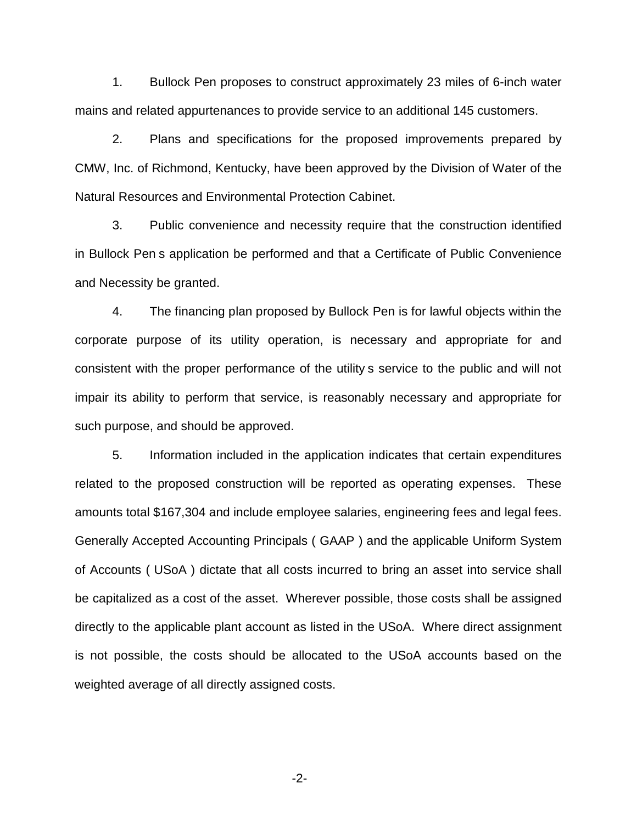1. Bullock Pen proposes to construct approximately 23 miles of 6-inch water mains and related appurtenances to provide service to an additional 145 customers.

2. Plans and specifications for the proposed improvements prepared by CMW, Inc. of Richmond, Kentucky, have been approved by the Division of Water of the Natural Resources and Environmental Protection Cabinet.

3. Public convenience and necessity require that the construction identified in Bullock Pen s application be performed and that a Certificate of Public Convenience and Necessity be granted.

4. The financing plan proposed by Bullock Pen is for lawful objects within the corporate purpose of its utility operation, is necessary and appropriate for and consistent with the proper performance of the utility s service to the public and will not impair its ability to perform that service, is reasonably necessary and appropriate for such purpose, and should be approved.

5. Information included in the application indicates that certain expenditures related to the proposed construction will be reported as operating expenses. These amounts total \$167,304 and include employee salaries, engineering fees and legal fees. Generally Accepted Accounting Principals ( GAAP ) and the applicable Uniform System of Accounts ( USoA ) dictate that all costs incurred to bring an asset into service shall be capitalized as a cost of the asset. Wherever possible, those costs shall be assigned directly to the applicable plant account as listed in the USoA. Where direct assignment is not possible, the costs should be allocated to the USoA accounts based on the weighted average of all directly assigned costs.

-2-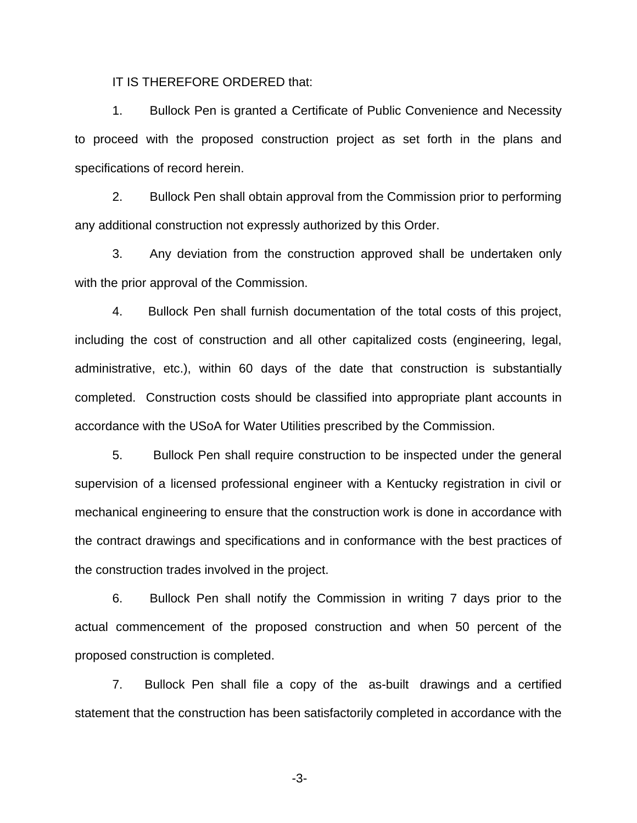IT IS THEREFORE ORDERED that:

1. Bullock Pen is granted a Certificate of Public Convenience and Necessity to proceed with the proposed construction project as set forth in the plans and specifications of record herein.

2. Bullock Pen shall obtain approval from the Commission prior to performing any additional construction not expressly authorized by this Order.

3. Any deviation from the construction approved shall be undertaken only with the prior approval of the Commission.

4. Bullock Pen shall furnish documentation of the total costs of this project, including the cost of construction and all other capitalized costs (engineering, legal, administrative, etc.), within 60 days of the date that construction is substantially completed. Construction costs should be classified into appropriate plant accounts in accordance with the USoA for Water Utilities prescribed by the Commission.

5. Bullock Pen shall require construction to be inspected under the general supervision of a licensed professional engineer with a Kentucky registration in civil or mechanical engineering to ensure that the construction work is done in accordance with the contract drawings and specifications and in conformance with the best practices of the construction trades involved in the project.

6. Bullock Pen shall notify the Commission in writing 7 days prior to the actual commencement of the proposed construction and when 50 percent of the proposed construction is completed.

7. Bullock Pen shall file a copy of the as-built drawings and a certified statement that the construction has been satisfactorily completed in accordance with the

-3-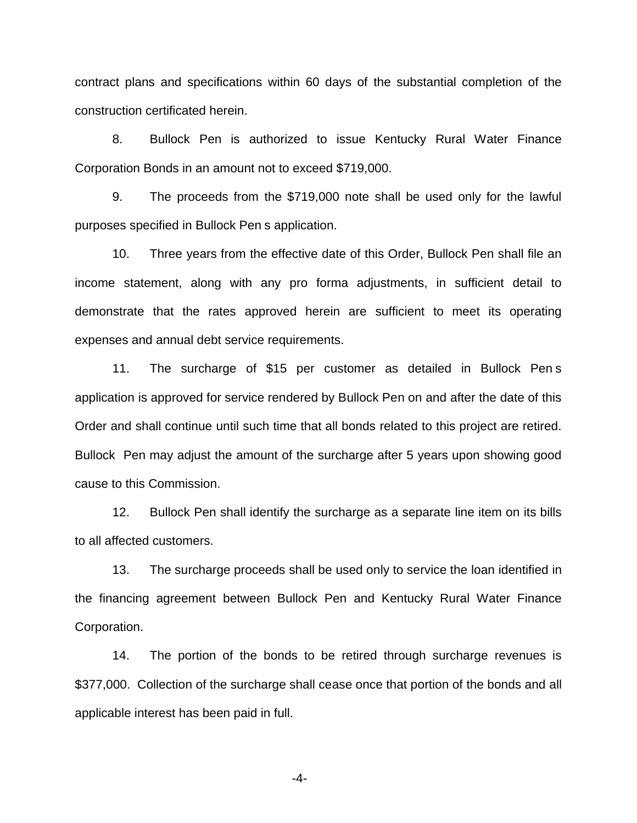contract plans and specifications within 60 days of the substantial completion of the construction certificated herein.

8. Bullock Pen is authorized to issue Kentucky Rural Water Finance Corporation Bonds in an amount not to exceed \$719,000.

9. The proceeds from the \$719,000 note shall be used only for the lawful purposes specified in Bullock Pen s application.

10. Three years from the effective date of this Order, Bullock Pen shall file an income statement, along with any pro forma adjustments, in sufficient detail to demonstrate that the rates approved herein are sufficient to meet its operating expenses and annual debt service requirements.

11. The surcharge of \$15 per customer as detailed in Bullock Pen s application is approved for service rendered by Bullock Pen on and after the date of this Order and shall continue until such time that all bonds related to this project are retired. Bullock Pen may adjust the amount of the surcharge after 5 years upon showing good cause to this Commission.

12. Bullock Pen shall identify the surcharge as a separate line item on its bills to all affected customers.

13. The surcharge proceeds shall be used only to service the loan identified in the financing agreement between Bullock Pen and Kentucky Rural Water Finance Corporation.

14. The portion of the bonds to be retired through surcharge revenues is \$377,000. Collection of the surcharge shall cease once that portion of the bonds and all applicable interest has been paid in full.

-4-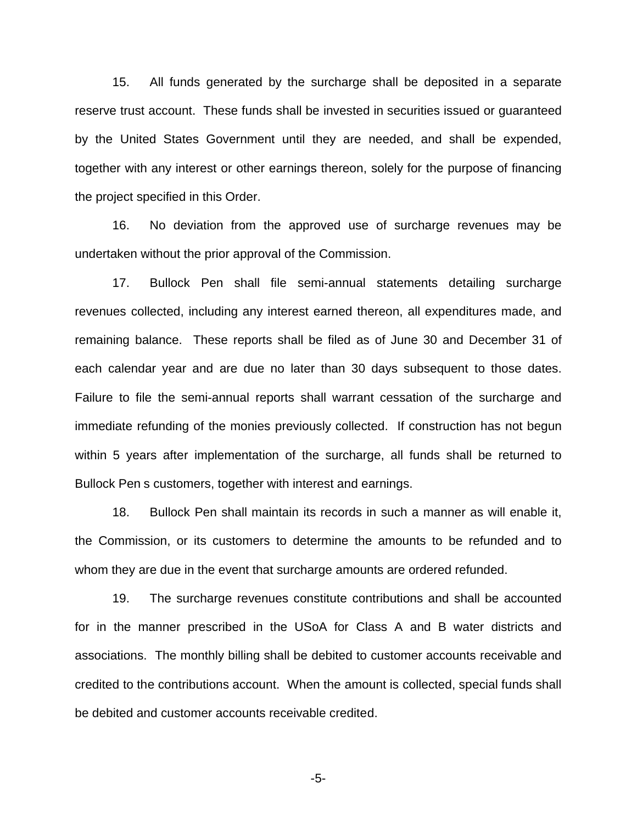15. All funds generated by the surcharge shall be deposited in a separate reserve trust account. These funds shall be invested in securities issued or guaranteed by the United States Government until they are needed, and shall be expended, together with any interest or other earnings thereon, solely for the purpose of financing the project specified in this Order.

16. No deviation from the approved use of surcharge revenues may be undertaken without the prior approval of the Commission.

17. Bullock Pen shall file semi-annual statements detailing surcharge revenues collected, including any interest earned thereon, all expenditures made, and remaining balance. These reports shall be filed as of June 30 and December 31 of each calendar year and are due no later than 30 days subsequent to those dates. Failure to file the semi-annual reports shall warrant cessation of the surcharge and immediate refunding of the monies previously collected. If construction has not begun within 5 years after implementation of the surcharge, all funds shall be returned to Bullock Pen s customers, together with interest and earnings.

18. Bullock Pen shall maintain its records in such a manner as will enable it, the Commission, or its customers to determine the amounts to be refunded and to whom they are due in the event that surcharge amounts are ordered refunded.

19. The surcharge revenues constitute contributions and shall be accounted for in the manner prescribed in the USoA for Class A and B water districts and associations. The monthly billing shall be debited to customer accounts receivable and credited to the contributions account. When the amount is collected, special funds shall be debited and customer accounts receivable credited.

-5-